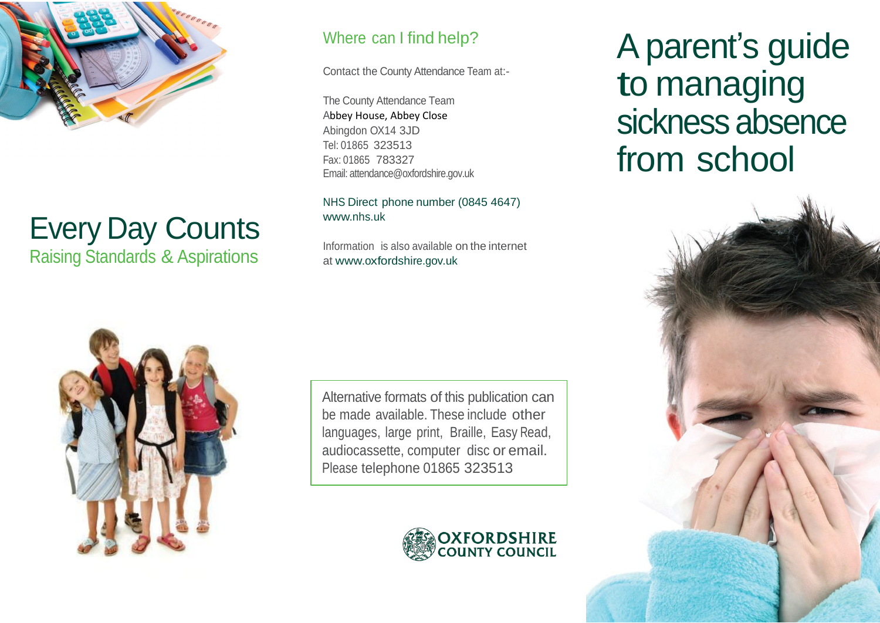

# Every Day Counts Raising Standards & Aspirations

## Where can I find help?

Contact the County Attendance Team at:-

The County Attendance Team Abbey House, Abbey Close Abingdon OX14 3JD Tel: 01865 323513 Fax: 01865 783327 Email: attendance@oxfordshire.gov.uk

NHS Direct phone number (0845 4647) [www.nhs.uk](http://www.nhs.uk/)

Information is also available on the internet at [www.oxfordshire.gov.uk](http://www.oxfordshire.gov.uk/)

Alternative formats of this publication can be made available. These include other languages, large print, Braille, Easy Read, audiocassette, computer disc or email. Please telephone 01865 323513



A parent's guide to managing sickness absence from school